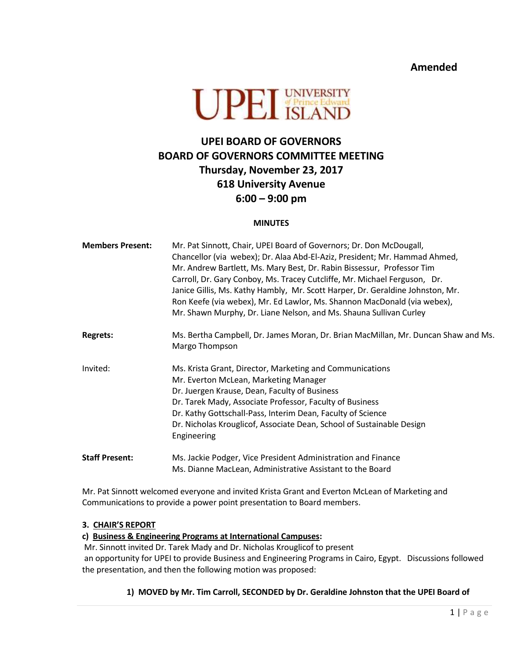**Amended**



# **UPEI BOARD OF GOVERNORS BOARD OF GOVERNORS COMMITTEE MEETING Thursday, November 23, 2017 618 University Avenue 6:00 – 9:00 pm**

#### **MINUTES**

| <b>Members Present:</b> | Mr. Pat Sinnott, Chair, UPEI Board of Governors; Dr. Don McDougall,<br>Chancellor (via webex); Dr. Alaa Abd-El-Aziz, President; Mr. Hammad Ahmed,<br>Mr. Andrew Bartlett, Ms. Mary Best, Dr. Rabin Bissessur, Professor Tim<br>Carroll, Dr. Gary Conboy, Ms. Tracey Cutcliffe, Mr. Michael Ferguson, Dr.<br>Janice Gillis, Ms. Kathy Hambly, Mr. Scott Harper, Dr. Geraldine Johnston, Mr.<br>Ron Keefe (via webex), Mr. Ed Lawlor, Ms. Shannon MacDonald (via webex),<br>Mr. Shawn Murphy, Dr. Liane Nelson, and Ms. Shauna Sullivan Curley |  |
|-------------------------|----------------------------------------------------------------------------------------------------------------------------------------------------------------------------------------------------------------------------------------------------------------------------------------------------------------------------------------------------------------------------------------------------------------------------------------------------------------------------------------------------------------------------------------------|--|
| <b>Regrets:</b>         | Ms. Bertha Campbell, Dr. James Moran, Dr. Brian MacMillan, Mr. Duncan Shaw and Ms.<br>Margo Thompson                                                                                                                                                                                                                                                                                                                                                                                                                                         |  |
| Invited:                | Ms. Krista Grant, Director, Marketing and Communications<br>Mr. Everton McLean, Marketing Manager<br>Dr. Juergen Krause, Dean, Faculty of Business<br>Dr. Tarek Mady, Associate Professor, Faculty of Business<br>Dr. Kathy Gottschall-Pass, Interim Dean, Faculty of Science<br>Dr. Nicholas Krouglicof, Associate Dean, School of Sustainable Design<br>Engineering                                                                                                                                                                        |  |
| <b>Staff Present:</b>   | Ms. Jackie Podger, Vice President Administration and Finance<br>Ms. Dianne MacLean, Administrative Assistant to the Board                                                                                                                                                                                                                                                                                                                                                                                                                    |  |

Mr. Pat Sinnott welcomed everyone and invited Krista Grant and Everton McLean of Marketing and Communications to provide a power point presentation to Board members.

### **3. CHAIR'S REPORT**

**c) Business & Engineering Programs at International Campuses:**

Mr. Sinnott invited Dr. Tarek Mady and Dr. Nicholas Krouglicof to present

an opportunity for UPEI to provide Business and Engineering Programs in Cairo, Egypt. Discussions followed the presentation, and then the following motion was proposed:

## **1) MOVED by Mr. Tim Carroll, SECONDED by Dr. Geraldine Johnston that the UPEI Board of**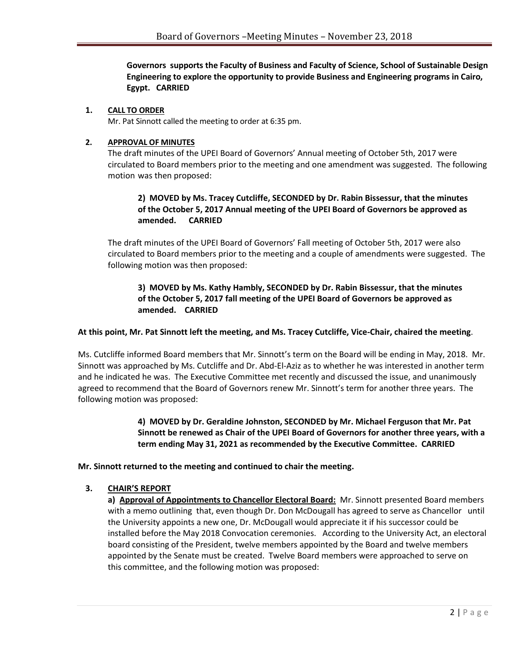**Governors supports the Faculty of Business and Faculty of Science, School of Sustainable Design Engineering to explore the opportunity to provide Business and Engineering programs in Cairo, Egypt. CARRIED**

#### **1. CALL TO ORDER**

Mr. Pat Sinnott called the meeting to order at 6:35 pm.

#### **2. APPROVAL OF MINUTES**

The draft minutes of the UPEI Board of Governors' Annual meeting of October 5th, 2017 were circulated to Board members prior to the meeting and one amendment was suggested. The following motion was then proposed:

## **2) MOVED by Ms. Tracey Cutcliffe, SECONDED by Dr. Rabin Bissessur, that the minutes of the October 5, 2017 Annual meeting of the UPEI Board of Governors be approved as amended. CARRIED**

The draft minutes of the UPEI Board of Governors' Fall meeting of October 5th, 2017 were also circulated to Board members prior to the meeting and a couple of amendments were suggested. The following motion was then proposed:

## **3) MOVED by Ms. Kathy Hambly, SECONDED by Dr. Rabin Bissessur, that the minutes of the October 5, 2017 fall meeting of the UPEI Board of Governors be approved as amended. CARRIED**

### **At this point, Mr. Pat Sinnott left the meeting, and Ms. Tracey Cutcliffe, Vice-Chair, chaired the meeting**.

Ms. Cutcliffe informed Board members that Mr. Sinnott's term on the Board will be ending in May, 2018. Mr. Sinnott was approached by Ms. Cutcliffe and Dr. Abd-El-Aziz as to whether he was interested in another term and he indicated he was. The Executive Committee met recently and discussed the issue, and unanimously agreed to recommend that the Board of Governors renew Mr. Sinnott's term for another three years. The following motion was proposed:

> **4) MOVED by Dr. Geraldine Johnston, SECONDED by Mr. Michael Ferguson that Mr. Pat Sinnott be renewed as Chair of the UPEI Board of Governors for another three years, with a term ending May 31, 2021 as recommended by the Executive Committee. CARRIED**

**Mr. Sinnott returned to the meeting and continued to chair the meeting.** 

### **3. CHAIR'S REPORT**

**a) Approval of Appointments to Chancellor Electoral Board:** Mr. Sinnott presented Board members with a memo outlining that, even though Dr. Don McDougall has agreed to serve as Chancellor until the University appoints a new one, Dr. McDougall would appreciate it if his successor could be installed before the May 2018 Convocation ceremonies. According to the University Act, an electoral board consisting of the President, twelve members appointed by the Board and twelve members appointed by the Senate must be created. Twelve Board members were approached to serve on this committee, and the following motion was proposed: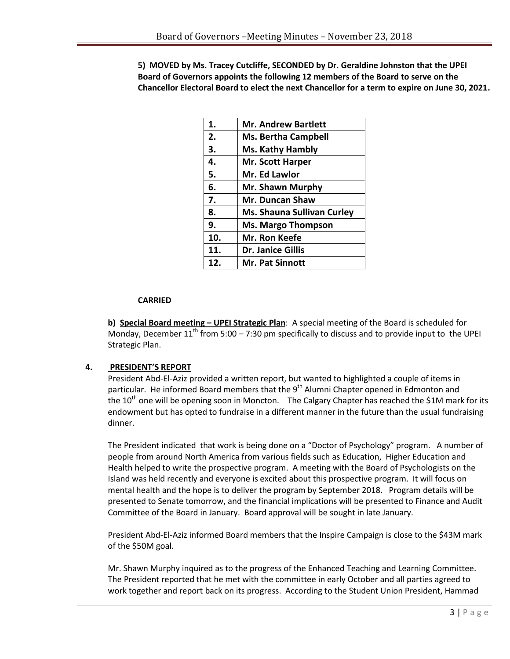**5) MOVED by Ms. Tracey Cutcliffe, SECONDED by Dr. Geraldine Johnston that the UPEI Board of Governors appoints the following 12 members of the Board to serve on the Chancellor Electoral Board to elect the next Chancellor for a term to expire on June 30, 2021.** 

| 1.  | <b>Mr. Andrew Bartlett</b>        |
|-----|-----------------------------------|
| 2.  | <b>Ms. Bertha Campbell</b>        |
| 3.  | <b>Ms. Kathy Hambly</b>           |
| 4.  | <b>Mr. Scott Harper</b>           |
| 5.  | Mr. Ed Lawlor                     |
| 6.  | Mr. Shawn Murphy                  |
| 7.  | <b>Mr. Duncan Shaw</b>            |
| 8.  | <b>Ms. Shauna Sullivan Curley</b> |
| 9.  | <b>Ms. Margo Thompson</b>         |
| 10. | Mr. Ron Keefe                     |
| 11. | <b>Dr. Janice Gillis</b>          |
| 12. | Mr. Pat Sinnott                   |

## **CARRIED**

**b) Special Board meeting - UPEI Strategic Plan:** A special meeting of the Board is scheduled for Monday, December  $11^{th}$  from 5:00 – 7:30 pm specifically to discuss and to provide input to the UPEI Strategic Plan.

## **4. PRESIDENT'S REPORT**

President Abd-El-Aziz provided a written report, but wanted to highlighted a couple of items in particular. He informed Board members that the 9<sup>th</sup> Alumni Chapter opened in Edmonton and the  $10^{th}$  one will be opening soon in Moncton. The Calgary Chapter has reached the \$1M mark for its endowment but has opted to fundraise in a different manner in the future than the usual fundraising dinner.

The President indicated that work is being done on a "Doctor of Psychology" program. A number of people from around North America from various fields such as Education, Higher Education and Health helped to write the prospective program. A meeting with the Board of Psychologists on the Island was held recently and everyone is excited about this prospective program. It will focus on mental health and the hope is to deliver the program by September 2018. Program details will be presented to Senate tomorrow, and the financial implications will be presented to Finance and Audit Committee of the Board in January. Board approval will be sought in late January.

President Abd-El-Aziz informed Board members that the Inspire Campaign is close to the \$43M mark of the \$50M goal.

Mr. Shawn Murphy inquired as to the progress of the Enhanced Teaching and Learning Committee. The President reported that he met with the committee in early October and all parties agreed to work together and report back on its progress. According to the Student Union President, Hammad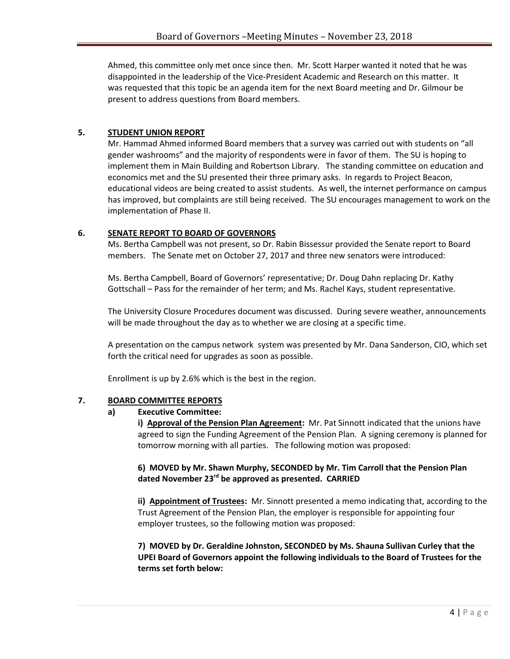Ahmed, this committee only met once since then. Mr. Scott Harper wanted it noted that he was disappointed in the leadership of the Vice-President Academic and Research on this matter. It was requested that this topic be an agenda item for the next Board meeting and Dr. Gilmour be present to address questions from Board members.

## **5. STUDENT UNION REPORT**

Mr. Hammad Ahmed informed Board members that a survey was carried out with students on "all gender washrooms" and the majority of respondents were in favor of them. The SU is hoping to implement them in Main Building and Robertson Library. The standing committee on education and economics met and the SU presented their three primary asks. In regards to Project Beacon, educational videos are being created to assist students. As well, the internet performance on campus has improved, but complaints are still being received. The SU encourages management to work on the implementation of Phase II.

### **6. SENATE REPORT TO BOARD OF GOVERNORS**

Ms. Bertha Campbell was not present, so Dr. Rabin Bissessur provided the Senate report to Board members. The Senate met on October 27, 2017 and three new senators were introduced:

Ms. Bertha Campbell, Board of Governors' representative; Dr. Doug Dahn replacing Dr. Kathy Gottschall – Pass for the remainder of her term; and Ms. Rachel Kays, student representative.

The University Closure Procedures document was discussed. During severe weather, announcements will be made throughout the day as to whether we are closing at a specific time.

A presentation on the campus network system was presented by Mr. Dana Sanderson, CIO, which set forth the critical need for upgrades as soon as possible.

Enrollment is up by 2.6% which is the best in the region.

### **7. BOARD COMMITTEE REPORTS**

### **a) Executive Committee:**

**i) Approval of the Pension Plan Agreement:** Mr. Pat Sinnott indicated that the unions have agreed to sign the Funding Agreement of the Pension Plan. A signing ceremony is planned for tomorrow morning with all parties. The following motion was proposed:

## **6) MOVED by Mr. Shawn Murphy, SECONDED by Mr. Tim Carroll that the Pension Plan dated November 23rd be approved as presented. CARRIED**

**ii) Appointment of Trustees:** Mr. Sinnott presented a memo indicating that, according to the Trust Agreement of the Pension Plan, the employer is responsible for appointing four employer trustees, so the following motion was proposed:

**7) MOVED by Dr. Geraldine Johnston, SECONDED by Ms. Shauna Sullivan Curley that the UPEI Board of Governors appoint the following individuals to the Board of Trustees for the terms set forth below:**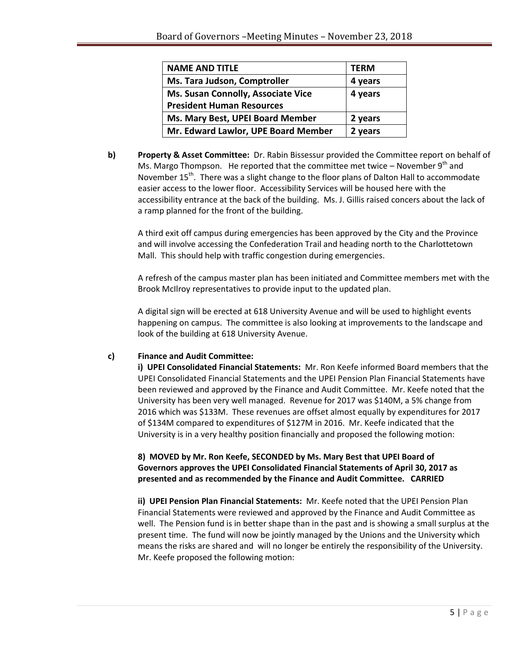| <b>NAME AND TITLE</b>               | <b>TFRM</b> |
|-------------------------------------|-------------|
| Ms. Tara Judson, Comptroller        | 4 years     |
| Ms. Susan Connolly, Associate Vice  | 4 years     |
| <b>President Human Resources</b>    |             |
| Ms. Mary Best, UPEI Board Member    | 2 years     |
| Mr. Edward Lawlor, UPE Board Member | 2 years     |

**b) Property & Asset Committee:** Dr. Rabin Bissessur provided the Committee report on behalf of Ms. Margo Thompson. He reported that the committee met twice – November  $9<sup>th</sup>$  and November 15<sup>th</sup>. There was a slight change to the floor plans of Dalton Hall to accommodate easier access to the lower floor. Accessibility Services will be housed here with the accessibility entrance at the back of the building. Ms. J. Gillis raised concers about the lack of a ramp planned for the front of the building.

A third exit off campus during emergencies has been approved by the City and the Province and will involve accessing the Confederation Trail and heading north to the Charlottetown Mall. This should help with traffic congestion during emergencies.

A refresh of the campus master plan has been initiated and Committee members met with the Brook McIlroy representatives to provide input to the updated plan.

A digital sign will be erected at 618 University Avenue and will be used to highlight events happening on campus. The committee is also looking at improvements to the landscape and look of the building at 618 University Avenue.

## **c) Finance and Audit Committee:**

**i) UPEI Consolidated Financial Statements:** Mr. Ron Keefe informed Board members that the UPEI Consolidated Financial Statements and the UPEI Pension Plan Financial Statements have been reviewed and approved by the Finance and Audit Committee. Mr. Keefe noted that the University has been very well managed. Revenue for 2017 was \$140M, a 5% change from 2016 which was \$133M. These revenues are offset almost equally by expenditures for 2017 of \$134M compared to expenditures of \$127M in 2016. Mr. Keefe indicated that the University is in a very healthy position financially and proposed the following motion:

## **8) MOVED by Mr. Ron Keefe, SECONDED by Ms. Mary Best that UPEI Board of Governors approves the UPEI Consolidated Financial Statements of April 30, 2017 as presented and as recommended by the Finance and Audit Committee. CARRIED**

**ii) UPEI Pension Plan Financial Statements:** Mr. Keefe noted that the UPEI Pension Plan Financial Statements were reviewed and approved by the Finance and Audit Committee as well. The Pension fund is in better shape than in the past and is showing a small surplus at the present time. The fund will now be jointly managed by the Unions and the University which means the risks are shared and will no longer be entirely the responsibility of the University. Mr. Keefe proposed the following motion: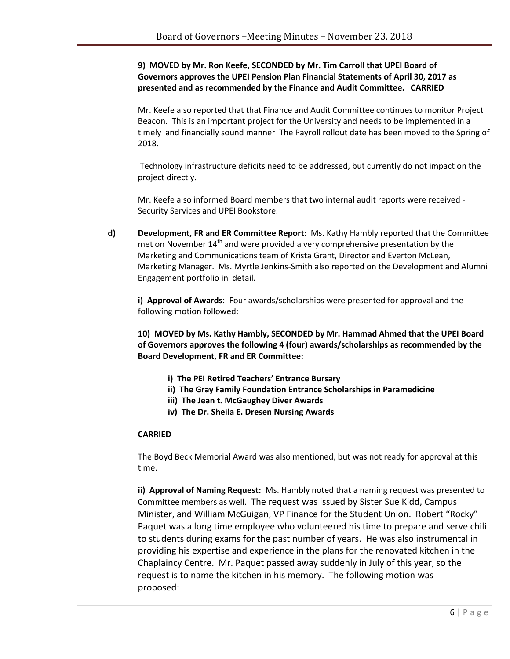## **9) MOVED by Mr. Ron Keefe, SECONDED by Mr. Tim Carroll that UPEI Board of Governors approves the UPEI Pension Plan Financial Statements of April 30, 2017 as presented and as recommended by the Finance and Audit Committee. CARRIED**

Mr. Keefe also reported that that Finance and Audit Committee continues to monitor Project Beacon. This is an important project for the University and needs to be implemented in a timely and financially sound manner The Payroll rollout date has been moved to the Spring of 2018.

Technology infrastructure deficits need to be addressed, but currently do not impact on the project directly.

Mr. Keefe also informed Board members that two internal audit reports were received - Security Services and UPEI Bookstore.

**d) Development, FR and ER Committee Report**: Ms. Kathy Hambly reported that the Committee met on November  $14<sup>th</sup>$  and were provided a very comprehensive presentation by the Marketing and Communications team of Krista Grant, Director and Everton McLean, Marketing Manager. Ms. Myrtle Jenkins-Smith also reported on the Development and Alumni Engagement portfolio in detail.

**i) Approval of Awards**: Four awards/scholarships were presented for approval and the following motion followed:

**10) MOVED by Ms. Kathy Hambly, SECONDED by Mr. Hammad Ahmed that the UPEI Board of Governors approves the following 4 (four) awards/scholarships as recommended by the Board Development, FR and ER Committee:**

- **i) The PEI Retired Teachers' Entrance Bursary**
- **ii) The Gray Family Foundation Entrance Scholarships in Paramedicine**
- **iii) The Jean t. McGaughey Diver Awards**
- **iv) The Dr. Sheila E. Dresen Nursing Awards**

#### **CARRIED**

The Boyd Beck Memorial Award was also mentioned, but was not ready for approval at this time.

**ii) Approval of Naming Request:** Ms. Hambly noted that a naming request was presented to Committee members as well. The request was issued by Sister Sue Kidd, Campus Minister, and William McGuigan, VP Finance for the Student Union. Robert "Rocky" Paquet was a long time employee who volunteered his time to prepare and serve chili to students during exams for the past number of years. He was also instrumental in providing his expertise and experience in the plans for the renovated kitchen in the Chaplaincy Centre. Mr. Paquet passed away suddenly in July of this year, so the request is to name the kitchen in his memory. The following motion was proposed: